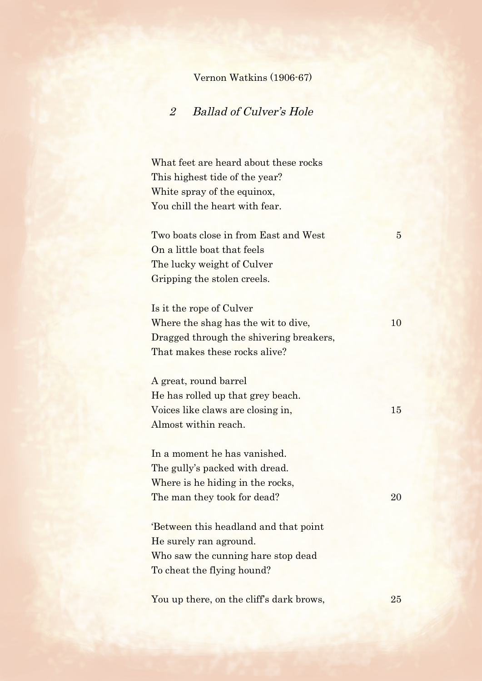## Vernon Watkins (1906-67)

## 2 Ballad of Culver's Hole

What feet are heard about these rocks This highest tide of the year? White spray of the equinox, You chill the heart with fear.

Two boats close in from East and West 5 On a little boat that feels The lucky weight of Culver Gripping the stolen creels.

Is it the rope of Culver Where the shag has the wit to dive, 10 Dragged through the shivering breakers, That makes these rocks alive?

A great, round barrel He has rolled up that grey beach. Voices like claws are closing in, 15 Almost within reach.

In a moment he has vanished. The gully's packed with dread. Where is he hiding in the rocks, The man they took for dead? 20

'Between this headland and that point He surely ran aground. Who saw the cunning hare stop dead To cheat the flying hound?

You up there, on the cliff's dark brows, 25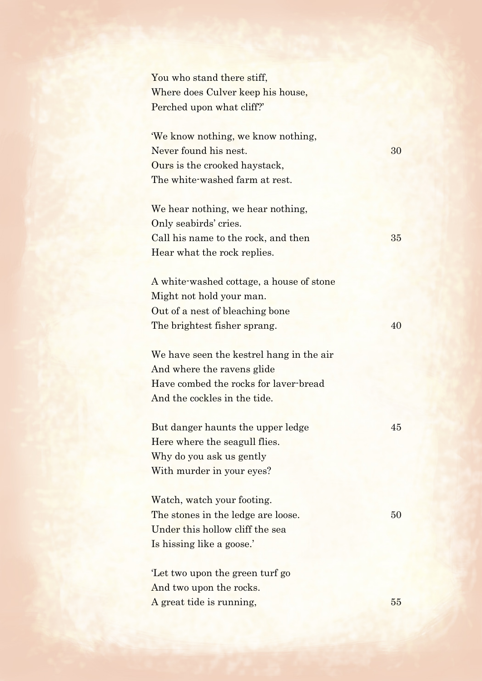You who stand there stiff, Where does Culver keep his house, Perched upon what cliff?'

'We know nothing, we know nothing, Never found his nest. 30 Ours is the crooked haystack, The white-washed farm at rest.

We hear nothing, we hear nothing, Only seabirds' cries. Call his name to the rock, and then 35 Hear what the rock replies.

A white-washed cottage, a house of stone Might not hold your man. Out of a nest of bleaching bone The brightest fisher sprang. 40

We have seen the kestrel hang in the air And where the ravens glide Have combed the rocks for laver-bread And the cockles in the tide.

But danger haunts the upper ledge 45 Here where the seagull flies. Why do you ask us gently With murder in your eyes?

Watch, watch your footing. The stones in the ledge are loose. 50 Under this hollow cliff the sea Is hissing like a goose.'

'Let two upon the green turf go And two upon the rocks. A great tide is running, 55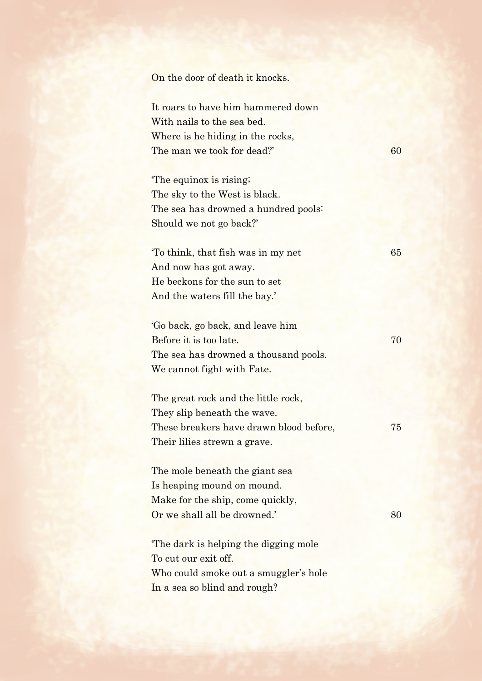On the door of death it knocks.

It roars to have him hammered down With nails to the sea bed. Where is he hiding in the rocks, The man we took for dead?' 60

'The equinox is rising; The sky to the West is black. The sea has drowned a hundred pools: Should we not go back?'

'To think, that fish was in my net 65 And now has got away. He beckons for the sun to set And the waters fill the bay.'

| 'Go back, go back, and leave him      |    |
|---------------------------------------|----|
| Before it is too late.                | 70 |
| The sea has drowned a thousand pools. |    |
| We cannot fight with Fate.            |    |

The great rock and the little rock, They slip beneath the wave. These breakers have drawn blood before,  $75$ Their lilies strewn a grave.

The mole beneath the giant sea Is heaping mound on mound. Make for the ship, come quickly, Or we shall all be drowned.' 80

'The dark is helping the digging mole To cut our exit off. Who could smoke out a smuggler's hole In a sea so blind and rough?